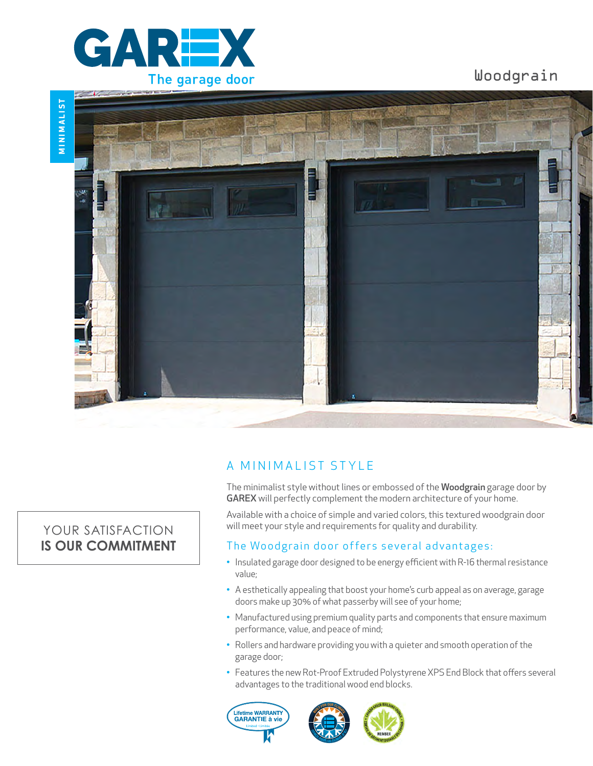

Woodgrain



## A MINIMALIST STYLE

The minimalist style without lines or embossed of the Woodgrain garage door by GAREX will perfectly complement the modern architecture of your home.

Available with a choice of simple and varied colors, this textured woodgrain door will meet your style and requirements for quality and durability.

## The Woodgrain door offers several advantages:

- Insulated garage door designed to be energy efficient with R-16 thermal resistance value;
- A esthetically appealing that boost your home's curb appeal as on average, garage doors make up 30% of what passerby will see of your home;
- Manufactured using premium quality parts and components that ensure maximum performance, value, and peace of mind;
- Rollers and hardware providing you with a quieter and smooth operation of the garage door;
- Features the new Rot-Proof Extruded Polystyrene XPS End Block that offers several advantages to the traditional wood end blocks.





# YOUR SATISFACTION **IS OUR COMMITMENT**